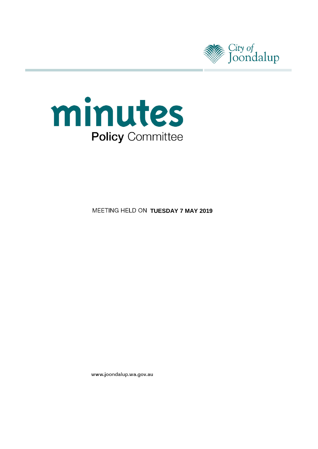



**MEETING HELD ON TUESDAY 7 MAY 2019** 

www.joondalup.wa.gov.au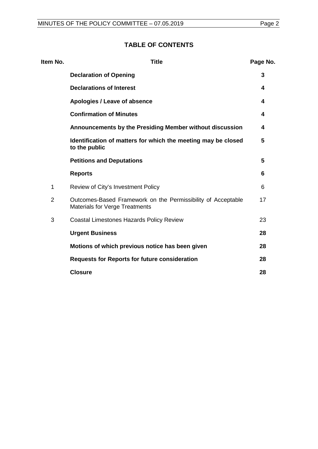## **TABLE OF CONTENTS**

| Item No.       | <b>Title</b>                                                                                          | Page No. |
|----------------|-------------------------------------------------------------------------------------------------------|----------|
|                | <b>Declaration of Opening</b>                                                                         | 3        |
|                | <b>Declarations of Interest</b>                                                                       | 4        |
|                | Apologies / Leave of absence                                                                          | 4        |
|                | <b>Confirmation of Minutes</b>                                                                        | 4        |
|                | Announcements by the Presiding Member without discussion                                              | 4        |
|                | Identification of matters for which the meeting may be closed<br>to the public                        | 5        |
|                | <b>Petitions and Deputations</b>                                                                      | 5        |
|                | <b>Reports</b>                                                                                        | 6        |
| 1              | Review of City's Investment Policy                                                                    | 6        |
| $\overline{2}$ | Outcomes-Based Framework on the Permissibility of Acceptable<br><b>Materials for Verge Treatments</b> | 17       |
| 3              | <b>Coastal Limestones Hazards Policy Review</b>                                                       | 23       |
|                | <b>Urgent Business</b>                                                                                | 28       |
|                | Motions of which previous notice has been given                                                       | 28       |
|                | <b>Requests for Reports for future consideration</b>                                                  | 28       |
|                | <b>Closure</b>                                                                                        | 28       |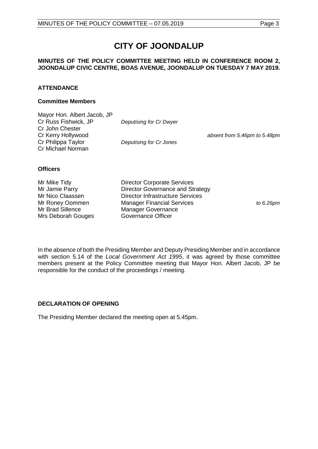# **CITY OF JOONDALUP**

## **MINUTES OF THE POLICY COMMITTEE MEETING HELD IN CONFERENCE ROOM 2, JOONDALUP CIVIC CENTRE, BOAS AVENUE, JOONDALUP ON TUESDAY 7 MAY 2019.**

## **ATTENDANCE**

## **Committee Members**

| Mayor Hon. Albert Jacob, JP |                         |                              |
|-----------------------------|-------------------------|------------------------------|
| Cr Russ Fishwick, JP        | Deputising for Cr Dwyer |                              |
| Cr John Chester             |                         |                              |
| Cr Kerry Hollywood          |                         | absent from 5.46pm to 5.48pm |
| Cr Philippa Taylor          | Deputising for Cr Jones |                              |
| Cr Michael Norman           |                         |                              |
|                             |                         |                              |

## **Officers**

Mrs Deborah Gouges

Mr Mike Tidy **Director Corporate Services**<br>Mr Jamie Parry **Director Governance and St** Mr Jamie Parry **Director Governance and Strategy**<br>
Mr Nico Claassen **Director Infrastructure Services** Mr Nico Claassen Director Infrastructure Services<br>
Mr Roney Oommen Manager Financial Services Mr Roney Oommen Manager Financial Services *to 6.26pm* Manager Governance<br>Governance Officer

In the absence of both the Presiding Member and Deputy Presiding Member and in accordance with section 5.14 of the *Local Government Act 1995*, it was agreed by those committee members present at the Policy Committee meeting that Mayor Hon. Albert Jacob, JP be responsible for the conduct of the proceedings / meeting.

## <span id="page-2-0"></span>**DECLARATION OF OPENING**

<span id="page-2-1"></span>The Presiding Member declared the meeting open at 5.45pm.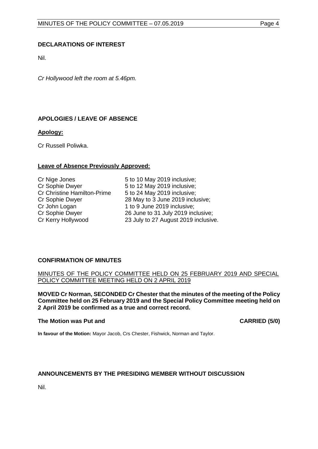## **DECLARATIONS OF INTEREST**

Nil.

<span id="page-3-0"></span>*Cr Hollywood left the room at 5.46pm.*

## **APOLOGIES / LEAVE OF ABSENCE**

## **Apology:**

Cr Russell Poliwka.

## **Leave of Absence Previously Approved:**

| Cr Nige Jones                      |
|------------------------------------|
| Cr Sophie Dwyer                    |
| <b>Cr Christine Hamilton-Prime</b> |
| Cr Sophie Dwyer                    |
| Cr John Logan                      |
| Cr Sophie Dwyer                    |
| Cr Kerry Hollywood                 |

5 to 10 May 2019 inclusive; 5 to 12 May 2019 inclusive; 5 to 24 May 2019 inclusive; 28 May to 3 June 2019 inclusive; 1 to 9 June 2019 inclusive; 26 June to 31 July 2019 inclusive; 23 July to 27 August 2019 inclusive.

## <span id="page-3-1"></span>**CONFIRMATION OF MINUTES**

## MINUTES OF THE POLICY COMMITTEE HELD ON 25 FEBRUARY 2019 AND SPECIAL POLICY COMMITTEE MEETING HELD ON 2 APRIL 2019

**MOVED Cr Norman, SECONDED Cr Chester that the minutes of the meeting of the Policy Committee held on 25 February 2019 and the Special Policy Committee meeting held on 2 April 2019 be confirmed as a true and correct record.**

#### **The Motion was Put and CARRIED (5/0)**

**In favour of the Motion:** Mayor Jacob, Crs Chester, Fishwick, Norman and Taylor.

## <span id="page-3-2"></span>**ANNOUNCEMENTS BY THE PRESIDING MEMBER WITHOUT DISCUSSION**

<span id="page-3-3"></span>Nil.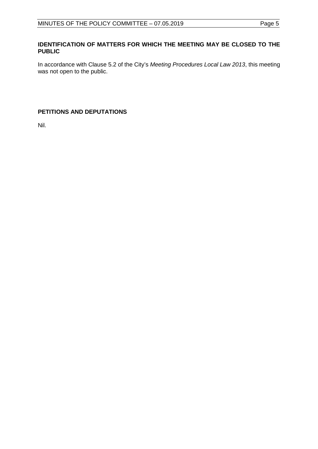## **IDENTIFICATION OF MATTERS FOR WHICH THE MEETING MAY BE CLOSED TO THE PUBLIC**

In accordance with Clause 5.2 of the City's *Meeting Procedures Local Law 2013*, this meeting was not open to the public.

## <span id="page-4-0"></span>**PETITIONS AND DEPUTATIONS**

Nil.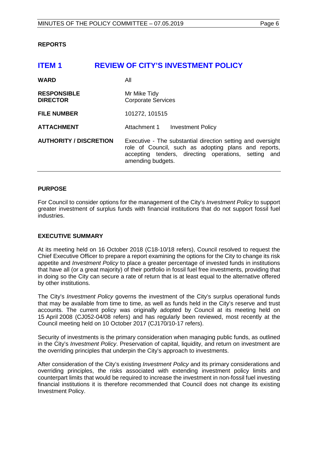## <span id="page-5-0"></span>**REPORTS**

<span id="page-5-1"></span>

| <b>ITEM1</b>                          | <b>REVIEW OF CITY'S INVESTMENT POLICY</b>                                                                                                                                                        |
|---------------------------------------|--------------------------------------------------------------------------------------------------------------------------------------------------------------------------------------------------|
| <b>WARD</b>                           | All                                                                                                                                                                                              |
| <b>RESPONSIBLE</b><br><b>DIRECTOR</b> | Mr Mike Tidy<br><b>Corporate Services</b>                                                                                                                                                        |
| <b>FILE NUMBER</b>                    | 101272, 101515                                                                                                                                                                                   |
| <b>ATTACHMENT</b>                     | Attachment 1<br><b>Investment Policy</b>                                                                                                                                                         |
| <b>AUTHORITY / DISCRETION</b>         | Executive - The substantial direction setting and oversight<br>role of Council, such as adopting plans and reports,<br>accepting tenders, directing operations, setting and<br>amending budgets. |

## **PURPOSE**

For Council to consider options for the management of the City's *Investment Policy* to support greater investment of surplus funds with financial institutions that do not support fossil fuel industries.

## **EXECUTIVE SUMMARY**

At its meeting held on 16 October 2018 (C18-10/18 refers), Council resolved to request the Chief Executive Officer to prepare a report examining the options for the City to change its risk appetite and *Investment Policy* to place a greater percentage of invested funds in institutions that have all (or a great majority) of their portfolio in fossil fuel free investments, providing that in doing so the City can secure a rate of return that is at least equal to the alternative offered by other institutions.

The City's *Investment Policy* governs the investment of the City's surplus operational funds that may be available from time to time, as well as funds held in the City's reserve and trust accounts. The current policy was originally adopted by Council at its meeting held on 15 April 2008 (CJ052-04/08 refers) and has regularly been reviewed, most recently at the Council meeting held on 10 October 2017 (CJ170/10-17 refers).

Security of investments is the primary consideration when managing public funds, as outlined in the City's *Investment Policy*. Preservation of capital, liquidity, and return on investment are the overriding principles that underpin the City's approach to investments.

After consideration of the City's existing *Investment Policy* and its primary considerations and overriding principles, the risks associated with extending investment policy limits and counterpart limits that would be required to increase the investment in non-fossil fuel investing financial institutions it is therefore recommended that Council does not change its existing Investment Policy.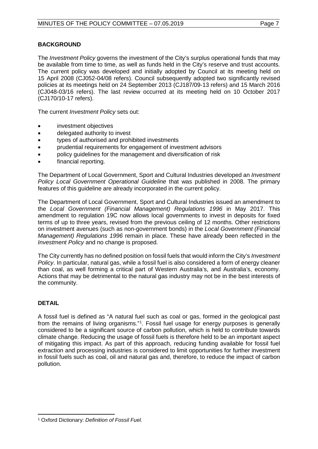## **BACKGROUND**

The *Investment Policy* governs the investment of the City's surplus operational funds that may be available from time to time, as well as funds held in the City's reserve and trust accounts. The current policy was developed and initially adopted by Council at its meeting held on 15 April 2008 (CJ052-04/08 refers). Council subsequently adopted two significantly revised policies at its meetings held on 24 September 2013 (CJ187/09-13 refers) and 15 March 2016 (CJ048-03/16 refers). The last review occurred at its meeting held on 10 October 2017 (CJ170/10-17 refers).

The current *Investment Policy* sets out:

- investment objectives
- delegated authority to invest
- types of authorised and prohibited investments
- prudential requirements for engagement of investment advisors
- policy guidelines for the management and diversification of risk
- financial reporting.

The Department of Local Government, Sport and Cultural Industries developed an *Investment Policy Local Government Operational Guideline* that was published in 2008. The primary features of this guideline are already incorporated in the current policy.

The Department of Local Government, Sport and Cultural Industries issued an amendment to the *Local Government (Financial Management) Regulations 1996* in May 2017. This amendment to regulation 19C now allows local governments to invest in deposits for fixed terms of up to three years, revised from the previous ceiling of 12 months. Other restrictions on investment avenues (such as non-government bonds) in the *Local Government (Financial Management) Regulations 1996* remain in place. These have already been reflected in the *Investment Policy* and no change is proposed.

The City currently has no defined position on fossil fuels that would inform the City's *Investment Policy*. In particular, natural gas, while a fossil fuel is also considered a form of energy cleaner than coal, as well forming a critical part of Western Australia's, and Australia's, economy. Actions that may be detrimental to the natural gas industry may not be in the best interests of the community.

## **DETAIL**

A fossil fuel is defined as "A natural fuel such as coal or gas, formed in the geological past from the remains of living organisms."<sup>[1](#page-6-0)</sup>. Fossil fuel usage for energy purposes is generally considered to be a significant source of carbon pollution, which is held to contribute towards climate change. Reducing the usage of fossil fuels is therefore held to be an important aspect of mitigating this impact. As part of this approach, reducing funding available for fossil fuel extraction and processing industries is considered to limit opportunities for further investment in fossil fuels such as coal, oil and natural gas and, therefore, to reduce the impact of carbon pollution.

<span id="page-6-0"></span> <sup>1</sup> Oxford Dictionary: *Definition of Fossil Fuel.*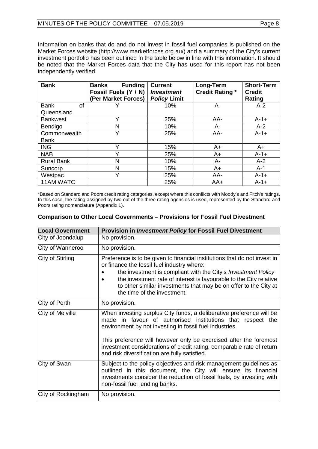Information on banks that do and do not invest in fossil fuel companies is published on the Market Forces website (http://www.marketforces.org.au/) and a summary of the City's current investment portfolio has been outlined in the table below in line with this information. It should be noted that the Market Forces data that the City has used for this report has not been independently verified.

| <b>Bank</b>       | <b>Funding</b><br><b>Banks</b><br>Fossil Fuels (Y / N)<br>(Per Market Forces) | <b>Current</b><br><b>Investment</b><br><b>Policy Limit</b> | Long-Term<br><b>Credit Rating *</b> | <b>Short-Term</b><br><b>Credit</b><br>Rating |
|-------------------|-------------------------------------------------------------------------------|------------------------------------------------------------|-------------------------------------|----------------------------------------------|
| <b>Bank</b><br>οf |                                                                               | 10%                                                        | А-                                  | $A-2$                                        |
| Queensland        |                                                                               |                                                            |                                     |                                              |
| <b>Bankwest</b>   | $\checkmark$                                                                  | 25%                                                        | AA-                                 | $A - 1 +$                                    |
| Bendigo           | N                                                                             | 10%                                                        | A-                                  | $A-2$                                        |
| Commonwealth      | Y                                                                             | 25%                                                        | AA-                                 | $A - 1 +$                                    |
| <b>Bank</b>       |                                                                               |                                                            |                                     |                                              |
| <b>ING</b>        | v                                                                             | 15%                                                        | $A+$                                | $A+$                                         |
| <b>NAB</b>        | v                                                                             | 25%                                                        | $A+$                                | $A - 1 +$                                    |
| <b>Rural Bank</b> | N                                                                             | 10%                                                        | A-                                  | $A-2$                                        |
| Suncorp           | N                                                                             | 15%                                                        | $A+$                                | $A-1$                                        |
| Westpac           | v                                                                             | 25%                                                        | AA-                                 | $A - 1 +$                                    |
| 11AM WATC         |                                                                               | 25%                                                        | $AA+$                               | $A - 1 +$                                    |

\*Based on Standard and Poors credit rating categories, except where this conflicts with Moody's and Fitch's ratings. In this case, the rating assigned by two out of the three rating agencies is used, represented by the Standard and Poors rating nomenclature (Appendix 1).

| <b>Local Government</b> | <b>Provision in Investment Policy for Fossil Fuel Divestment</b>                                                                                                                                                                                                                                                                                                         |
|-------------------------|--------------------------------------------------------------------------------------------------------------------------------------------------------------------------------------------------------------------------------------------------------------------------------------------------------------------------------------------------------------------------|
| City of Joondalup       | No provision.                                                                                                                                                                                                                                                                                                                                                            |
| City of Wanneroo        | No provision.                                                                                                                                                                                                                                                                                                                                                            |
| City of Stirling        | Preference is to be given to financial institutions that do not invest in<br>or finance the fossil fuel industry where:<br>the investment is compliant with the City's <i>Investment Policy</i><br>the investment rate of interest is favourable to the City relative<br>to other similar investments that may be on offer to the City at<br>the time of the investment. |
| City of Perth           | No provision.                                                                                                                                                                                                                                                                                                                                                            |
| City of Melville        | When investing surplus City funds, a deliberative preference will be<br>made in favour of authorised institutions that respect the<br>environment by not investing in fossil fuel industries.                                                                                                                                                                            |
|                         | This preference will however only be exercised after the foremost<br>investment considerations of credit rating, comparable rate of return<br>and risk diversification are fully satisfied.                                                                                                                                                                              |
| City of Swan            | Subject to the policy objectives and risk management guidelines as<br>outlined in this document, the City will ensure its financial<br>investments consider the reduction of fossil fuels, by investing with<br>non-fossil fuel lending banks.                                                                                                                           |
| City of Rockingham      | No provision.                                                                                                                                                                                                                                                                                                                                                            |

## **Comparison to Other Local Governments – Provisions for Fossil Fuel Divestment**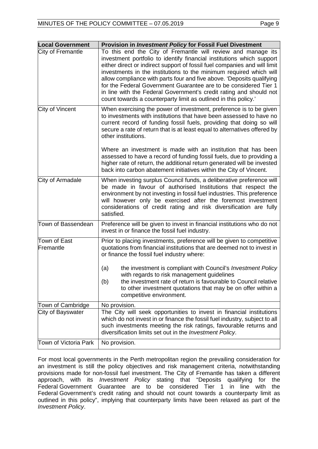| <b>Local Government</b>   | <b>Provision in Investment Policy for Fossil Fuel Divestment</b>                                                                                                                                                                                                                                                                                                                                                                                                                                                                                                               |
|---------------------------|--------------------------------------------------------------------------------------------------------------------------------------------------------------------------------------------------------------------------------------------------------------------------------------------------------------------------------------------------------------------------------------------------------------------------------------------------------------------------------------------------------------------------------------------------------------------------------|
| City of Fremantle         | To this end the City of Fremantle will review and manage its<br>investment portfolio to identify financial institutions which support<br>either direct or indirect support of fossil fuel companies and will limit<br>investments in the institutions to the minimum required which will<br>allow compliance with parts four and five above. 'Deposits qualifying<br>for the Federal Government Guarantee are to be considered Tier 1<br>in line with the Federal Government's credit rating and should not<br>count towards a counterparty limit as outlined in this policy.' |
| City of Vincent           | When exercising the power of investment, preference is to be given<br>to investments with institutions that have been assessed to have no<br>current record of funding fossil fuels, providing that doing so will<br>secure a rate of return that is at least equal to alternatives offered by<br>other institutions.<br>Where an investment is made with an institution that has been<br>assessed to have a record of funding fossil fuels, due to providing a<br>higher rate of return, the additional return generated will be invested                                     |
|                           | back into carbon abatement initiatives within the City of Vincent.                                                                                                                                                                                                                                                                                                                                                                                                                                                                                                             |
| City of Armadale          | When investing surplus Council funds, a deliberative preference will<br>be made in favour of authorised Institutions that respect the<br>environment by not investing in fossil fuel industries. This preference<br>will however only be exercised after the foremost investment<br>considerations of credit rating and risk diversification are fully<br>satisfied.                                                                                                                                                                                                           |
| Town of Bassendean        | Preference will be given to invest in financial institutions who do not<br>invest in or finance the fossil fuel industry.                                                                                                                                                                                                                                                                                                                                                                                                                                                      |
| Town of East<br>Fremantle | Prior to placing investments, preference will be given to competitive<br>quotations from financial institutions that are deemed not to invest in<br>or finance the fossil fuel industry where:                                                                                                                                                                                                                                                                                                                                                                                 |
|                           | the investment is compliant with Council's Investment Policy<br>(a)<br>with regards to risk management guidelines<br>the investment rate of return is favourable to Council relative<br>(b)<br>to other investment quotations that may be on offer within a<br>competitive environment.                                                                                                                                                                                                                                                                                        |
| Town of Cambridge         | No provision.                                                                                                                                                                                                                                                                                                                                                                                                                                                                                                                                                                  |
| City of Bayswater         | The City will seek opportunities to invest in financial institutions<br>which do not invest in or finance the fossil fuel industry, subject to all<br>such investments meeting the risk ratings, favourable returns and<br>diversification limits set out in the Investment Policy.                                                                                                                                                                                                                                                                                            |
| Town of Victoria Park     | No provision.                                                                                                                                                                                                                                                                                                                                                                                                                                                                                                                                                                  |

For most local governments in the Perth metropolitan region the prevailing consideration for an investment is still the policy objectives and risk management criteria, notwithstanding provisions made for non-fossil fuel investment. The City of Fremantle has taken a different approach, with its *Investment Policy* stating that "Deposits qualifying for the Federal Government Guarantee are to be considered Tier 1 in line with the Federal Government's credit rating and should not count towards a counterparty limit as outlined in this policy", implying that counterparty limits have been relaxed as part of the *Investment Policy*.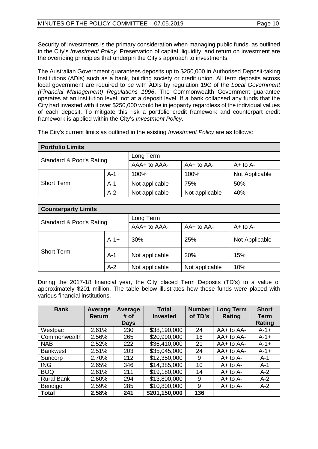Security of investments is the primary consideration when managing public funds, as outlined in the City's *Investment Policy*. Preservation of capital, liquidity, and return on investment are the overriding principles that underpin the City's approach to investments.

The Australian Government guarantees deposits up to \$250,000 in Authorised Deposit-taking Institutions (ADIs) such as a bank, building society or credit union. All term deposits across local government are required to be with ADIs by regulation 19C of the *Local Government (Financial Management) Regulations 1996*. The Commonwealth Government guarantee operates at an institution level, not at a deposit level. If a bank collapsed any funds that the City had invested with it over \$250,000 would be in jeopardy regardless of the individual values of each deposit. To mitigate this risk a portfolio credit framework and counterpart credit framework is applied within the City's *Investment Policy*.

| <b>Portfolio Limits</b>  |           |                |                |                |  |
|--------------------------|-----------|----------------|----------------|----------------|--|
| Standard & Poor's Rating |           | Long Term      |                |                |  |
|                          |           | AAA+ to AAA-   | $AA+$ to $AA-$ | $A+$ to $A-$   |  |
|                          | $A - 1 +$ | 100%           | 100%           | Not Applicable |  |
| <b>Short Term</b>        | $A-1$     | Not applicable | 75%            | 50%            |  |
|                          | $A-2$     | Not applicable | Not applicable | 40%            |  |

The City's current limits as outlined in the existing *Investment Policy* are as follows:

| <b>Counterparty Limits</b> |        |                |                |                |  |
|----------------------------|--------|----------------|----------------|----------------|--|
| Standard & Poor's Rating   |        | Long Term      |                |                |  |
|                            |        | AAA+ to AAA-   | $AA+$ to $AA-$ | $A+$ to $A-$   |  |
|                            | $A-1+$ | 30%            | 25%            | Not Applicable |  |
| <b>Short Term</b>          | $A-1$  | Not applicable | 20%            | 15%            |  |
|                            | $A-2$  | Not applicable | Not applicable | 10%            |  |

During the 2017-18 financial year, the City placed Term Deposits (TD's) to a value of approximately \$201 million. The table below illustrates how these funds were placed with various financial institutions.

| <b>Bank</b>       | Average<br>Return | Average<br># of | <b>Total</b><br><b>Invested</b> | <b>Number</b><br>of TD's | <b>Long Term</b><br>Rating | <b>Short</b><br>Term<br>Rating |
|-------------------|-------------------|-----------------|---------------------------------|--------------------------|----------------------------|--------------------------------|
|                   |                   | <b>Days</b>     |                                 |                          |                            |                                |
| Westpac           | 2.61%             | 230             | \$38,190,000                    | 24                       | $AA+$ to $AA-$             | $A-1+$                         |
| Commonwealth      | 2.56%             | 265             | \$20,990,000                    | 16                       | $AA+$ to $AA-$             | $A-1+$                         |
| <b>NAB</b>        | 2.52%             | 222             | \$36,410,000                    | 21                       | $AA+$ to $AA-$             | $A-1+$                         |
| <b>Bankwest</b>   | 2.51%             | 203             | \$35,045,000                    | 24                       | $AA+$ to $AA-$             | $A-1+$                         |
| Suncorp           | 2.70%             | 212             | \$12,350,000                    | 9                        | $A+$ to $A-$               | $A-1$                          |
| <b>ING</b>        | 2.65%             | 346             | \$14,385,000                    | 10                       | $A+$ to $A-$               | $A-1$                          |
| <b>BOQ</b>        | 2.61%             | 211             | \$19,180,000                    | 14                       | $A+$ to $A-$               | $A-2$                          |
| <b>Rural Bank</b> | 2.60%             | 294             | \$13,800,000                    | 9                        | $A+$ to $A-$               | $A-2$                          |
| Bendigo           | 2.59%             | 285             | \$10,800,000                    | 9                        | $A+$ to $A-$               | $A-2$                          |
| <b>Total</b>      | 2.58%             | 241             | \$201,150,000                   | 136                      |                            |                                |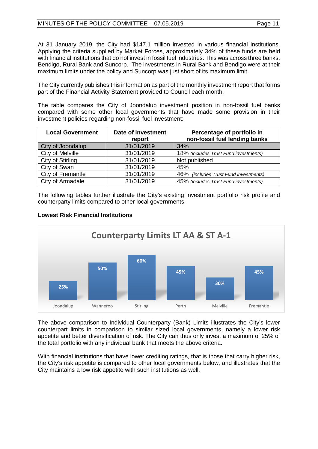At 31 January 2019, the City had \$147.1 million invested in various financial institutions. Applying the criteria supplied by Market Forces, approximately 34% of these funds are held with financial institutions that do not invest in fossil fuel industries. This was across three banks, Bendigo, Rural Bank and Suncorp. The investments in Rural Bank and Bendigo were at their maximum limits under the policy and Suncorp was just short of its maximum limit.

The City currently publishes this information as part of the monthly investment report that forms part of the Financial Activity Statement provided to Council each month.

The table compares the City of Joondalup investment position in non-fossil fuel banks compared with some other local governments that have made some provision in their investment policies regarding non-fossil fuel investment:

| <b>Local Government</b> | Date of investment<br>report | Percentage of portfolio in<br>non-fossil fuel lending banks |
|-------------------------|------------------------------|-------------------------------------------------------------|
| City of Joondalup       | 31/01/2019                   | 34%                                                         |
| City of Melville        | 31/01/2019                   | 18% (includes Trust Fund investments)                       |
| City of Stirling        | 31/01/2019                   | Not published                                               |
| City of Swan            | 31/01/2019                   | 45%                                                         |
| City of Fremantle       | 31/01/2019                   | 46% (includes Trust Fund investments)                       |
| City of Armadale        | 31/01/2019                   | 45% (includes Trust Fund investments)                       |

The following tables further illustrate the City's existing investment portfolio risk profile and counterparty limits compared to other local governments.



## **Lowest Risk Financial Institutions**

The above comparison to Individual Counterparty (Bank) Limits illustrates the City's lower counterpart limits in comparison to similar sized local governments, namely a lower risk appetite and better diversification of risk. The City can thus only invest a maximum of 25% of the total portfolio with any individual bank that meets the above criteria.

With financial institutions that have lower crediting ratings, that is those that carry higher risk, the City's risk appetite is compared to other local governments below, and illustrates that the City maintains a low risk appetite with such institutions as well.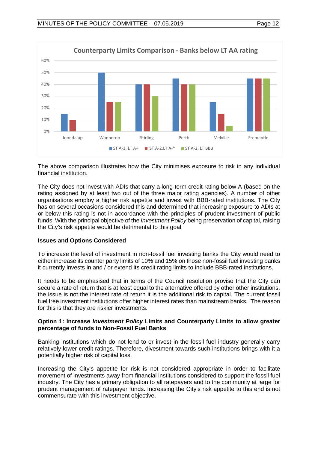



The above comparison illustrates how the City minimises exposure to risk in any individual financial institution.

The City does not invest with ADIs that carry a long-term credit rating below A (based on the rating assigned by at least two out of the three major rating agencies). A number of other organisations employ a higher risk appetite and invest with BBB-rated institutions. The City has on several occasions considered this and determined that increasing exposure to ADIs at or below this rating is not in accordance with the principles of prudent investment of public funds. With the principal objective of the *Investment Policy* being preservation of capital, raising the City's risk appetite would be detrimental to this goal.

## **Issues and Options Considered**

To increase the level of investment in non-fossil fuel investing banks the City would need to either increase its counter party limits of 10% and 15% on those non-fossil fuel investing banks it currently invests in and / or extend its credit rating limits to include BBB-rated institutions.

It needs to be emphasised that in terms of the Council resolution proviso that the City can secure a rate of return that is at least equal to the alternative offered by other other institutions, the issue is not the interest rate of return it is the additional risk to capital. The current fossil fuel free investment institutions offer higher interest rates than mainstream banks. The reason for this is that they are riskier investments.

## **Option 1: Increase** *Investment Policy* **Limits and Counterparty Limits to allow greater percentage of funds to Non-Fossil Fuel Banks**

Banking institutions which do not lend to or invest in the fossil fuel industry generally carry relatively lower credit ratings. Therefore, divestment towards such institutions brings with it a potentially higher risk of capital loss.

Increasing the City's appetite for risk is not considered appropriate in order to facilitate movement of investments away from financial institutions considered to support the fossil fuel industry. The City has a primary obligation to all ratepayers and to the community at large for prudent management of ratepayer funds. Increasing the City's risk appetite to this end is not commensurate with this investment objective.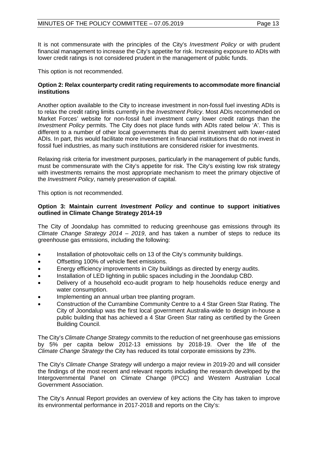It is not commensurate with the principles of the City's *Investment Policy* or with prudent financial management to increase the City's appetite for risk. Increasing exposure to ADIs with lower credit ratings is not considered prudent in the management of public funds.

This option is not recommended.

## **Option 2: Relax counterparty credit rating requirements to accommodate more financial institutions**

Another option available to the City to increase investment in non-fossil fuel investing ADIs is to relax the credit rating limits currently in the *Investment Policy*. Most ADIs recommended on Market Forces' website for non-fossil fuel investment carry lower credit ratings than the *Investment Policy* permits. The City does not place funds with ADIs rated below 'A'. This is different to a number of other local governments that do permit investment with lower-rated ADIs. In part, this would facilitate more investment in financial institutions that do not invest in fossil fuel industries, as many such institutions are considered riskier for investments.

Relaxing risk criteria for investment purposes, particularly in the management of public funds, must be commensurate with the City's appetite for risk. The City's existing low risk strategy with investments remains the most appropriate mechanism to meet the primary objective of the *Investment Policy*, namely preservation of capital.

This option is not recommended.

## **Option 3: Maintain current** *Investment Policy* **and continue to support initiatives outlined in Climate Change Strategy 2014-19**

The City of Joondalup has committed to reducing greenhouse gas emissions through its *[Climate Change Strategy 2014 –](http://www.joondalup.wa.gov.au/Files/Climate%20Change%20Strategy%202014-2019.pdf) 2019*, and has taken a number of steps to reduce its greenhouse gas emissions, including the following:

- Installation of photovoltaic cells on 13 of the City's community buildings.
- Offsetting 100% of vehicle fleet emissions.
- Energy efficiency improvements in City buildings as directed by energy audits.
- Installation of LED lighting in public spaces including in the Joondalup CBD.
- Delivery of a household eco-audit program to help households reduce energy and water consumption.
- Implementing an annual urban tree planting program.
- Construction of the Currambine Community Centre to a 4 Star Green Star Rating. The City of Joondalup was the first local government Australia-wide to design in-house a public building that has achieved a 4 Star Green Star rating as certified by the Green Building Council.

The City's *Climate Change Strategy* commits to the reduction of net greenhouse gas emissions by 5% per capita below 2012-13 emissions by 2018-19. Over the life of the *Climate Change Strategy* the City has reduced its total corporate emissions by 23%.

The City's *Climate Change Strategy* will undergo a major review in 2019-20 and will consider the findings of the most recent and relevant reports including the research developed by the Intergovernmental Panel on Climate Change (IPCC) and Western Australian Local Government Association.

The City's Annual Report provides an overview of key actions the City has taken to improve its environmental performance in 2017-2018 and reports on the City's: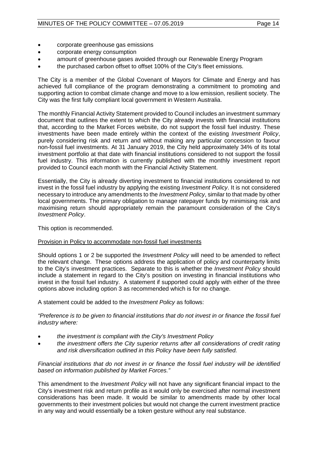- corporate greenhouse gas emissions
- corporate energy consumption
- amount of greenhouse gases avoided through our Renewable Energy Program
- the purchased carbon offset to offset 100% of the City's fleet emissions.

The City is a member of the Global Covenant of Mayors for Climate and Energy and has achieved full compliance of the program demonstrating a commitment to promoting and supporting action to combat climate change and move to a low emission, resilient society. The City was the first fully compliant local government in Western Australia.

The monthly Financial Activity Statement provided to Council includes an investment summary document that outlines the extent to which the City already invests with financial institutions that, according to the Market Forces website, do not support the fossil fuel industry. These investments have been made entirely within the context of the existing *Investment Policy*, purely considering risk and return and without making any particular concession to favour non-fossil fuel investments. At 31 January 2019, the City held approximately 34% of its total investment portfolio at that date with financial institutions considered to not support the fossil fuel industry. This information is currently published with the monthly investment report provided to Council each month with the Financial Activity Statement.

Essentially, the City is already diverting investment to financial institutions considered to not invest in the fossil fuel industry by applying the existing *Investment Policy*. It is not considered necessary to introduce any amendments to the *Investment Policy*, similar to that made by other local governments. The primary obligation to manage ratepayer funds by minimising risk and maximising return should appropriately remain the paramount consideration of the City's *Investment Policy*.

This option is recommended.

## Provision in Policy to accommodate non-fossil fuel investments

Should options 1 or 2 be supported the *Investment Policy* will need to be amended to reflect the relevant change. These options address the application of policy and counterparty limits to the City's investment practices. Separate to this is whether the *Investment Policy* should include a statement in regard to the City's position on investing in financial institutions who invest in the fossil fuel industry. A statement if supported could apply with either of the three options above including option 3 as recommended which is for no change.

A statement could be added to the *Investment Policy* as follows:

*"Preference is to be given to financial institutions that do not invest in or finance the fossil fuel industry where:* 

- *the investment is compliant with the City's Investment Policy*
- *the investment offers the City superior returns after all considerations of credit rating and risk diversification outlined in this Policy have been fully satisfied.*

*Financial institutions that do not invest in or finance the fossil fuel industry will be identified based on information published by Market Forces."*

This amendment to the *Investment Policy* will not have any significant financial impact to the City's investment risk and return profile as it would only be exercised after normal investment considerations has been made. It would be similar to amendments made by other local governments to their investment policies but would not change the current investment practice in any way and would essentially be a token gesture without any real substance.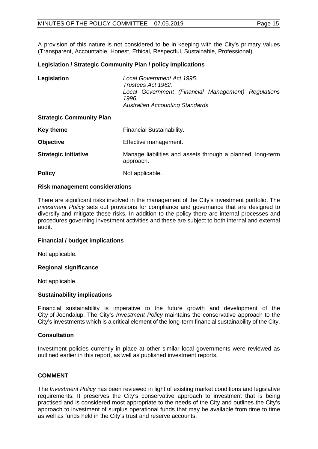A provision of this nature is not considered to be in keeping with the City's primary values (Transparent, Accountable, Honest, Ethical, Respectful, Sustainable, Professional).

## **Legislation / Strategic Community Plan / policy implications**

| Legislation                     | Local Government Act 1995.<br>Trustees Act 1962.<br>Local Government (Financial Management) Regulations<br>1996.<br>Australian Accounting Standards. |
|---------------------------------|------------------------------------------------------------------------------------------------------------------------------------------------------|
| <b>Strategic Community Plan</b> |                                                                                                                                                      |
| <b>Key theme</b>                | Financial Sustainability.                                                                                                                            |
| <b>Objective</b>                | Effective management.                                                                                                                                |
| <b>Strategic initiative</b>     | Manage liabilities and assets through a planned, long-term<br>approach.                                                                              |
| <b>Policy</b>                   | Not applicable.                                                                                                                                      |

## **Risk management considerations**

There are significant risks involved in the management of the City's investment portfolio. The *Investment Policy* sets out provisions for compliance and governance that are designed to diversify and mitigate these risks. In addition to the policy there are internal processes and procedures governing investment activities and these are subject to both internal and external audit.

## **Financial / budget implications**

Not applicable.

## **Regional significance**

Not applicable.

#### **Sustainability implications**

Financial sustainability is imperative to the future growth and development of the City of Joondalup. The City's *Investment Policy* maintains the conservative approach to the City's investments which is a critical element of the long-term financial sustainability of the City.

## **Consultation**

Investment policies currently in place at other similar local governments were reviewed as outlined earlier in this report, as well as published investment reports.

## **COMMENT**

The *Investment Policy* has been reviewed in light of existing market conditions and legislative requirements. It preserves the City's conservative approach to investment that is being practised and is considered most appropriate to the needs of the City and outlines the City's approach to investment of surplus operational funds that may be available from time to time as well as funds held in the City's trust and reserve accounts.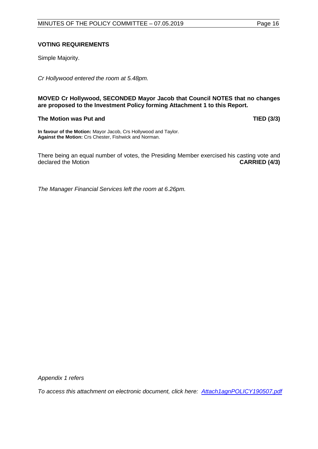## **VOTING REQUIREMENTS**

Simple Majority.

*Cr Hollywood entered the room at 5.48pm.* 

**MOVED Cr Hollywood, SECONDED Mayor Jacob that Council NOTES that no changes are proposed to the Investment Policy forming Attachment 1 to this Report.** 

## **The Motion was Put and TIED (3/3)**

**In favour of the Motion:** Mayor Jacob, Crs Hollywood and Taylor. **Against the Motion:** Crs Chester, Fishwick and Norman.

There being an equal number of votes, the Presiding Member exercised his casting vote and declared the Motion **CARRIED (4/3)** declared the Motion

*The Manager Financial Services left the room at 6.26pm.*

*Appendix 1 refers*

<span id="page-15-0"></span>*To access this attachment on electronic document, click here: [Attach1agnPOLICY190507.pdf](http://www.joondalup.wa.gov.au/files/committees/POLI/2019/Attach1agnPOLICY190507.pdf)*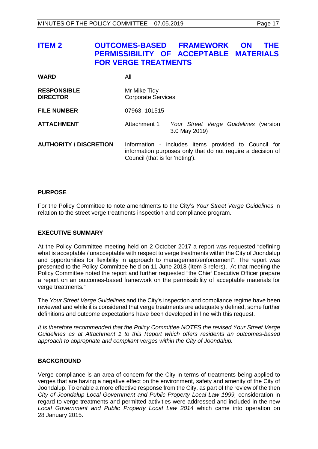| <b>ITEM 2</b>                         | <b>OUTCOMES-BASED FRAMEWORK</b><br>PERMISSIBILITY OF ACCEPTABLE MATERIALS<br><b>FOR VERGE TREATMENTS</b> |                                                                                                                                                        | <b>ON</b><br>THE |
|---------------------------------------|----------------------------------------------------------------------------------------------------------|--------------------------------------------------------------------------------------------------------------------------------------------------------|------------------|
| <b>WARD</b>                           | All                                                                                                      |                                                                                                                                                        |                  |
| <b>RESPONSIBLE</b><br><b>DIRECTOR</b> | Mr Mike Tidy<br><b>Corporate Services</b>                                                                |                                                                                                                                                        |                  |
| <b>FILE NUMBER</b>                    | 07963, 101515                                                                                            |                                                                                                                                                        |                  |
| <b>ATTACHMENT</b>                     | Attachment 1                                                                                             | Your Street Verge Guidelines (version<br>3.0 May 2019)                                                                                                 |                  |
| <b>AUTHORITY / DISCRETION</b>         |                                                                                                          | Information - includes items provided to Council for<br>information purposes only that do not require a decision of<br>Council (that is for 'noting'). |                  |

## **PURPOSE**

For the Policy Committee to note amendments to the City's *Your Street Verge Guidelines* in relation to the street verge treatments inspection and compliance program.

#### **EXECUTIVE SUMMARY**

At the Policy Committee meeting held on 2 October 2017 a report was requested "defining what is acceptable / unacceptable with respect to verge treatments within the City of Joondalup and opportunities for flexibility in approach to management/enforcement". The report was presented to the Policy Committee held on 11 June 2018 (Item 3 refers). At that meeting the Policy Committee noted the report and further requested "the Chief Executive Officer prepare a report on an outcomes-based framework on the permissibility of acceptable materials for verge treatments."

The *Your Street Verge Guidelines* and the City's inspection and compliance regime have been reviewed and while it is considered that verge treatments are adequately defined, some further definitions and outcome expectations have been developed in line with this request.

*It is therefore recommended that the Policy Committee NOTES the revised Your Street Verge Guidelines as at Attachment 1 to this Report which offers residents an outcomes-based approach to appropriate and compliant verges within the City of Joondalup.*

## **BACKGROUND**

Verge compliance is an area of concern for the City in terms of treatments being applied to verges that are having a negative effect on the environment, safety and amenity of the City of Joondalup. To enable a more effective response from the City, as part of the review of the then *City of Joondalup Local Government and Public Property Local Law 1999,* consideration in regard to verge treatments and permitted activities were addressed and included in the new *Local Government and Public Property Local Law 2014* which came into operation on 28 January 2015.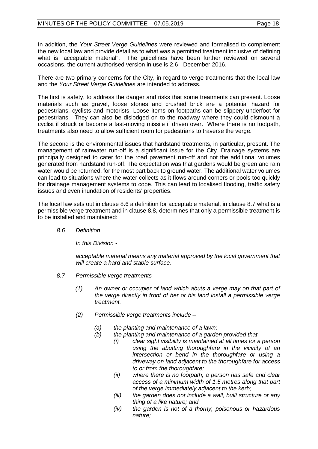In addition, the *Your Street Verge Guidelines* were reviewed and formalised to complement the new local law and provide detail as to what was a permitted treatment inclusive of defining what is "acceptable material". The guidelines have been further reviewed on several occasions, the current authorised version in use is 2.6 - December 2016.

There are two primary concerns for the City, in regard to verge treatments that the local law and the *Your Street Verge Guidelines* are intended to address.

The first is safety, to address the danger and risks that some treatments can present. Loose materials such as gravel, loose stones and crushed brick are a potential hazard for pedestrians, cyclists and motorists. Loose items on footpaths can be slippery underfoot for pedestrians. They can also be dislodged on to the roadway where they could dismount a cyclist if struck or become a fast-moving missile if driven over. Where there is no footpath, treatments also need to allow sufficient room for pedestrians to traverse the verge.

The second is the environmental issues that hardstand treatments, in particular, present. The management of rainwater run-off is a significant issue for the City. Drainage systems are principally designed to cater for the road pavement run-off and not the additional volumes generated from hardstand run-off. The expectation was that gardens would be green and rain water would be returned, for the most part back to ground water. The additional water volumes can lead to situations where the water collects as it flows around corners or pools too quickly for drainage management systems to cope. This can lead to localised flooding, traffic safety issues and even inundation of residents' properties.

The local law sets out in clause 8.6 a definition for acceptable material, in clause 8.7 what is a permissible verge treatment and in clause 8.8, determines that only a permissible treatment is to be installed and maintained:

*8.6 Definition* 

*In this Division -*

*acceptable material means any material approved by the local government that will create a hard and stable surface.*

- *8.7 Permissible verge treatments* 
	- *(1) An owner or occupier of land which abuts a verge may on that part of the verge directly in front of her or his land install a permissible verge treatment.*
	- *(2) Permissible verge treatments include –*
		- *(a) the planting and maintenance of a lawn;*
		- *(b) the planting and maintenance of a garden provided that -*
			- *(i) clear sight visibility is maintained at all times for a person using the abutting thoroughfare in the vicinity of an intersection or bend in the thoroughfare or using a driveway on land adjacent to the thoroughfare for access to or from the thoroughfare;*
			- *(ii) where there is no footpath, a person has safe and clear access of a minimum width of 1.5 metres along that part of the verge immediately adjacent to the kerb;*
			- *(iii) the garden does not include a wall, built structure or any thing of a like nature; and*
			- *(iv) the garden is not of a thorny, poisonous or hazardous nature;*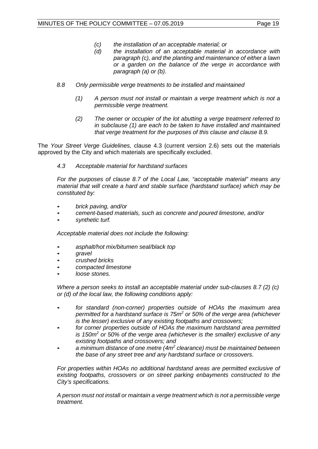- *(c) the installation of an acceptable material; or*
- *(d) the installation of an acceptable material in accordance with paragraph (c), and the planting and maintenance of either a lawn or a garden on the balance of the verge in accordance with paragraph (a) or (b).*
- *8.8 Only permissible verge treatments to be installed and maintained* 
	- *(1) A person must not install or maintain a verge treatment which is not a permissible verge treatment.*
	- *(2) The owner or occupier of the lot abutting a verge treatment referred to in subclause (1) are each to be taken to have installed and maintained that verge treatment for the purposes of this clause and clause 8.9.*

The *Your Street Verge Guidelines,* clause 4.3 (current version 2.6) sets out the materials approved by the City and which materials are specifically excluded.

*4.3 Acceptable material for hardstand surfaces*

*For the purposes of clause 8.7 of the Local Law, "acceptable material" means any material that will create a hard and stable surface (hardstand surface) which may be constituted by:*

- *brick paving, and/or*
- *cement-based materials, such as concrete and poured limestone, and/or*
- *synthetic turf.*

*Acceptable material does not include the following:*

- *asphalt/hot mix/bitumen seal/black top*
- *gravel*
- *crushed bricks*
- *compacted limestone*
- *loose stones.*

*Where a person seeks to install an acceptable material under sub-clauses 8.7 (2) (c) or (d) of the local law, the following conditions apply:*

- *for standard (non-corner) properties outside of HOAs the maximum area permitted for a hardstand surface is 75m<sup>2</sup> or 50% of the verge area (whichever is the lesser) exclusive of any existing footpaths and crossovers;*
- *for corner properties outside of HOAs the maximum hardstand area permitted is 150m<sup>2</sup> or 50% of the verge area (whichever is the smaller) exclusive of any existing footpaths and crossovers; and*
- *a minimum distance of one metre (4m<sup>2</sup> clearance) must be maintained between the base of any street tree and any hardstand surface or crossovers.*

For properties within HOAs no additional hardstand areas are permitted exclusive of *existing footpaths, crossovers or on street parking enbayments constructed to the City's specifications.*

*A person must not install or maintain a verge treatment which is not a permissible verge treatment.*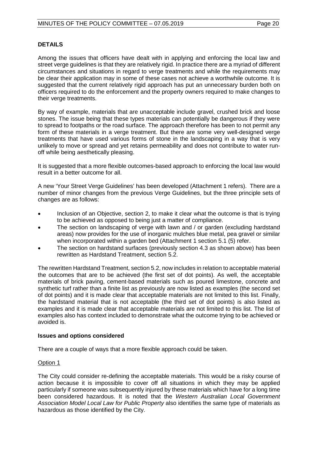## **DETAILS**

Among the issues that officers have dealt with in applying and enforcing the local law and street verge guidelines is that they are relatively rigid. In practice there are a myriad of different circumstances and situations in regard to verge treatments and while the requirements may be clear their application may in some of these cases not achieve a worthwhile outcome. It is suggested that the current relatively rigid approach has put an unnecessary burden both on officers required to do the enforcement and the property owners required to make changes to their verge treatments.

By way of example, materials that are unacceptable include gravel, crushed brick and loose stones. The issue being that these types materials can potentially be dangerous if they were to spread to footpaths or the road surface. The approach therefore has been to not permit any form of these materials in a verge treatment. But there are some very well-designed verge treatments that have used various forms of stone in the landscaping in a way that is very unlikely to move or spread and yet retains permeability and does not contribute to water runoff while being aesthetically pleasing.

It is suggested that a more flexible outcomes-based approach to enforcing the local law would result in a better outcome for all.

A new 'Your Street Verge Guidelines' has been developed (Attachment 1 refers). There are a number of minor changes from the previous Verge Guidelines, but the three principle sets of changes are as follows:

- Inclusion of an Objective, section 2, to make it clear what the outcome is that is trying to be achieved as opposed to being just a matter of compliance.
- The section on landscaping of verge with lawn and / or garden (excluding hardstand areas) now provides for the use of inorganic mulches blue metal, pea gravel or similar when incorporated within a garden bed (Attachment 1 section 5.1 (5) refer.
- The section on hardstand surfaces (previously section 4.3 as shown above) has been rewritten as Hardstand Treatment, section 5.2.

The rewritten Hardstand Treatment, section 5.2, now includes in relation to acceptable material the outcomes that are to be achieved (the first set of dot points). As well, the acceptable materials of brick paving, cement-based materials such as poured limestone, concrete and synthetic turf rather than a finite list as previously are now listed as examples (the second set of dot points) and it is made clear that acceptable materials are not limited to this list. Finally, the hardstand material that is not acceptable (the third set of dot points) is also listed as examples and it is made clear that acceptable materials are not limited to this list. The list of examples also has context included to demonstrate what the outcome trying to be achieved or avoided is.

## **Issues and options considered**

There are a couple of ways that a more flexible approach could be taken.

## Option 1

The City could consider re-defining the acceptable materials. This would be a risky course of action because it is impossible to cover off all situations in which they may be applied particularly if someone was subsequently injured by these materials which have for a long time been considered hazardous. It is noted that the *Western Australian Local Government Association Model Local Law for Public Property* also identifies the same type of materials as hazardous as those identified by the City.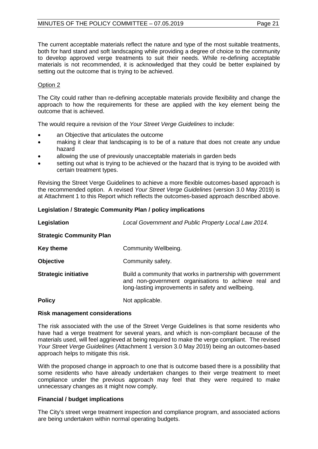The current acceptable materials reflect the nature and type of the most suitable treatments, both for hard stand and soft landscaping while providing a degree of choice to the community to develop approved verge treatments to suit their needs. While re-defining acceptable materials is not recommended, it is acknowledged that they could be better explained by setting out the outcome that is trying to be achieved.

## Option 2

The City could rather than re-defining acceptable materials provide flexibility and change the approach to how the requirements for these are applied with the key element being the outcome that is achieved.

The would require a revision of the *Your Street Verge Guidelines* to include:

- an Objective that articulates the outcome
- making it clear that landscaping is to be of a nature that does not create any undue hazard
- allowing the use of previously unacceptable materials in garden beds
- setting out what is trying to be achieved or the hazard that is trying to be avoided with certain treatment types.

Revising the Street Verge Guidelines to achieve a more flexible outcomes-based approach is the recommended option. A revised *Your Street Verge Guidelines* (version 3.0 May 2019) is at Attachment 1 to this Report which reflects the outcomes-based approach described above.

## **Legislation / Strategic Community Plan / policy implications**

| Legislation                     | Local Government and Public Property Local Law 2014.                                                                                                                      |  |
|---------------------------------|---------------------------------------------------------------------------------------------------------------------------------------------------------------------------|--|
| <b>Strategic Community Plan</b> |                                                                                                                                                                           |  |
| <b>Key theme</b>                | Community Wellbeing.                                                                                                                                                      |  |
| <b>Objective</b>                | Community safety.                                                                                                                                                         |  |
| <b>Strategic initiative</b>     | Build a community that works in partnership with government<br>and non-government organisations to achieve real and<br>long-lasting improvements in safety and wellbeing. |  |
| <b>Policy</b>                   | Not applicable.                                                                                                                                                           |  |

## **Risk management considerations**

The risk associated with the use of the Street Verge Guidelines is that some residents who have had a verge treatment for several years, and which is non-compliant because of the materials used, will feel aggrieved at being required to make the verge compliant. The revised *Your Street Verge Guidelines* (Attachment 1 version 3.0 May 2019) being an outcomes-based approach helps to mitigate this risk.

With the proposed change in approach to one that is outcome based there is a possibility that some residents who have already undertaken changes to their verge treatment to meet compliance under the previous approach may feel that they were required to make unnecessary changes as it might now comply.

## **Financial / budget implications**

The City's street verge treatment inspection and compliance program, and associated actions are being undertaken within normal operating budgets.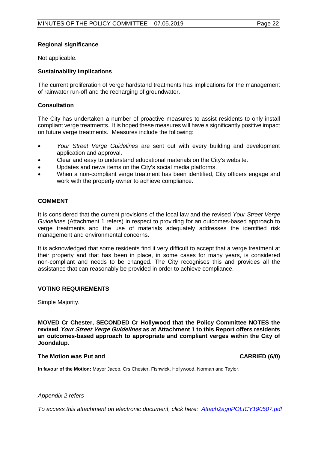## **Regional significance**

Not applicable.

## **Sustainability implications**

The current proliferation of verge hardstand treatments has implications for the management of rainwater run-off and the recharging of groundwater.

## **Consultation**

The City has undertaken a number of proactive measures to assist residents to only install compliant verge treatments. It is hoped these measures will have a significantly positive impact on future verge treatments. Measures include the following:

- *Your Street Verge Guidelines* are sent out with every building and development application and approval.
- Clear and easy to understand educational materials on the City's website.
- Updates and news items on the City's social media platforms.
- When a non-compliant verge treatment has been identified, City officers engage and work with the property owner to achieve compliance.

## **COMMENT**

It is considered that the current provisions of the local law and the revised *Your Street Verge Guidelines* (Attachment 1 refers) in respect to providing for an outcomes-based approach to verge treatments and the use of materials adequately addresses the identified risk management and environmental concerns.

It is acknowledged that some residents find it very difficult to accept that a verge treatment at their property and that has been in place, in some cases for many years, is considered non-compliant and needs to be changed. The City recognises this and provides all the assistance that can reasonably be provided in order to achieve compliance.

## **VOTING REQUIREMENTS**

Simple Majority.

**MOVED Cr Chester, SECONDED Cr Hollywood that the Policy Committee NOTES the revised Your Street Verge Guidelines as at Attachment 1 to this Report offers residents an outcomes-based approach to appropriate and compliant verges within the City of Joondalup.**

#### **The Motion was Put and CARRIED (6/0)**

**In favour of the Motion:** Mayor Jacob, Crs Chester, Fishwick, Hollywood, Norman and Taylor.

#### *Appendix 2 refers*

<span id="page-21-0"></span>*To access this attachment on electronic document, click here: [Attach2agnPOLICY190507.pdf](http://www.joondalup.wa.gov.au/files/committees/POLI/2019/Attach2agnPOLICY190507.pdf)*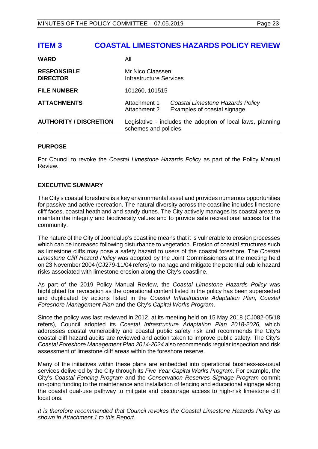## **ITEM 3 COASTAL LIMESTONES HAZARDS POLICY REVIEW**

| <b>AUTHORITY / DISCRETION</b>         | Legislative - includes the adoption of local laws, planning<br>schemes and policies. |                                                                 |
|---------------------------------------|--------------------------------------------------------------------------------------|-----------------------------------------------------------------|
| <b>ATTACHMENTS</b>                    | Attachment 1<br>Attachment 2                                                         | Coastal Limestone Hazards Policy<br>Examples of coastal signage |
| <b>FILE NUMBER</b>                    | 101260, 101515                                                                       |                                                                 |
| <b>RESPONSIBLE</b><br><b>DIRECTOR</b> | Mr Nico Claassen<br>Infrastructure Services                                          |                                                                 |
| <b>WARD</b>                           | All                                                                                  |                                                                 |

## **PURPOSE**

For Council to revoke the *Coastal Limestone Hazards Policy* as part of the Policy Manual Review.

## **EXECUTIVE SUMMARY**

The City's coastal foreshore is a key environmental asset and provides numerous opportunities for passive and active recreation. The natural diversity across the coastline includes limestone cliff faces, coastal heathland and sandy dunes. The City actively manages its coastal areas to maintain the integrity and biodiversity values and to provide safe recreational access for the community.

The nature of the City of Joondalup's coastline means that it is vulnerable to erosion processes which can be increased following disturbance to vegetation. Erosion of coastal structures such as limestone cliffs may pose a safety hazard to users of the coastal foreshore. The *Coastal Limestone Cliff Hazard Policy* was adopted by the Joint Commissioners at the meeting held on 23 November 2004 (CJ279-11/04 refers) to manage and mitigate the potential public hazard risks associated with limestone erosion along the City's coastline.

As part of the 2019 Policy Manual Review, the *Coastal Limestone Hazards Policy* was highlighted for revocation as the operational content listed in the policy has been superseded and duplicated by actions listed in the *Coastal Infrastructure Adaptation Plan, Coastal Foreshore Management Plan* and the City's *Capital Works Program*.

Since the policy was last reviewed in 2012, at its meeting held on 15 May 2018 (CJ082-05/18 refers), Council adopted its *Coastal Infrastructure Adaptation Plan 2018-2026,* which addresses coastal vulnerability and coastal public safety risk and recommends the City's coastal cliff hazard audits are reviewed and action taken to improve public safety. The City's *Coastal Foreshore Management Plan 2014-2024* also recommends regular inspection and risk assessment of limestone cliff areas within the foreshore reserve.

Many of the initiatives within these plans are embedded into operational business-as-usual services delivered by the City through its *Five Year Capital Works Program*. For example, the City's *Coastal Fencing Program* and the *Conservation Reserves Signage Program* commit on-going funding to the maintenance and installation of fencing and educational signage along the coastal dual-use pathway to mitigate and discourage access to high-risk limestone cliff locations.

*It is therefore recommended that Council revokes the Coastal Limestone Hazards Policy as shown in Attachment 1 to this Report.*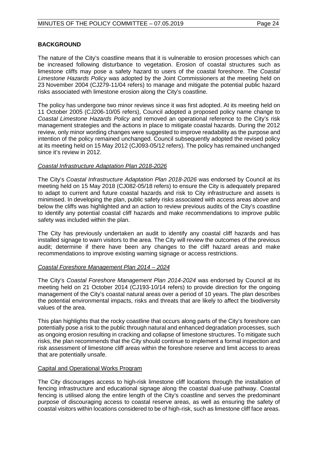## **BACKGROUND**

The nature of the City's coastline means that it is vulnerable to erosion processes which can be increased following disturbance to vegetation. Erosion of coastal structures such as limestone cliffs may pose a safety hazard to users of the coastal foreshore. The *Coastal Limestone Hazards Policy* was adopted by the Joint Commissioners at the meeting held on 23 November 2004 (CJ279-11/04 refers) to manage and mitigate the potential public hazard risks associated with limestone erosion along the City's coastline.

The policy has undergone two minor reviews since it was first adopted. At its meeting held on 11 October 2005 (CJ206-10/05 refers), Council adopted a proposed policy name change to *Coastal Limestone Hazards Policy* and removed an operational reference to the City's risk management strategies and the actions in place to mitigate coastal hazards. During the 2012 review, only minor wording changes were suggested to improve readability as the purpose and intention of the policy remained unchanged. Council subsequently adopted the revised policy at its meeting held on 15 May 2012 (CJ093-05/12 refers). The policy has remained unchanged since it's review in 2012.

## *Coastal Infrastructure Adaptation Plan 2018-2026*

The City's *Coastal Infrastructure Adaptation Plan 2018-2026* was endorsed by Council at its meeting held on 15 May 2018 (CJ082-05/18 refers) to ensure the City is adequately prepared to adapt to current and future coastal hazards and risk to City infrastructure and assets is minimised. In developing the plan, public safety risks associated with access areas above and below the cliffs was highlighted and an action to review previous audits of the City's coastline to identify any potential coastal cliff hazards and make recommendations to improve public safety was included within the plan.

The City has previously undertaken an audit to identify any coastal cliff hazards and has installed signage to warn visitors to the area. The City will review the outcomes of the previous audit; determine if there have been any changes to the cliff hazard areas and make recommendations to improve existing warning signage or access restrictions.

## *Coastal Foreshore Management Plan 2014 – 2024*

The City's *Coastal Foreshore Management Plan 2014-2024* was endorsed by Council at its meeting held on 21 October 2014 (CJ193-10/14 refers) to provide direction for the ongoing management of the City's coastal natural areas over a period of 10 years. The plan describes the potential environmental impacts, risks and threats that are likely to affect the biodiversity values of the area.

This plan highlights that the rocky coastline that occurs along parts of the City's foreshore can potentially pose a risk to the public through natural and enhanced degradation processes, such as ongoing erosion resulting in cracking and collapse of limestone structures. To mitigate such risks, the plan recommends that the City should continue to implement a formal inspection and risk assessment of limestone cliff areas within the foreshore reserve and limit access to areas that are potentially unsafe.

## Capital and Operational Works Program

The City discourages access to high-risk limestone cliff locations through the installation of fencing infrastructure and educational signage along the coastal dual-use pathway. Coastal fencing is utilised along the entire length of the City's coastline and serves the predominant purpose of discouraging access to coastal reserve areas, as well as ensuring the safety of coastal visitors within locations considered to be of high-risk, such as limestone cliff face areas.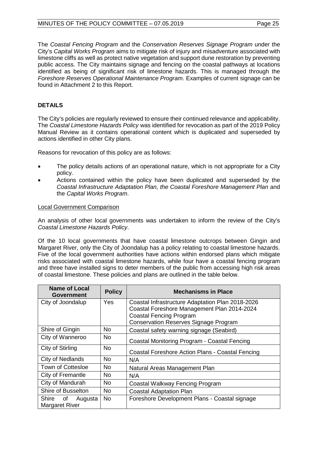The *Coastal Fencing Program* and the *Conservation Reserves Signage Program* under the City's *Capital Works Program* aims to mitigate risk of injury and misadventure associated with limestone cliffs as well as protect native vegetation and support dune restoration by preventing public access. The City maintains signage and fencing on the coastal pathways at locations identified as being of significant risk of limestone hazards. This is managed through the *Foreshore Reserves Operational Maintenance Program*. Examples of current signage can be found in Attachment 2 to this Report.

## **DETAILS**

The City's policies are regularly reviewed to ensure their continued relevance and applicability. The *Coastal Limestone Hazards Policy* was identified for revocation as part of the 2019 Policy Manual Review as it contains operational content which is duplicated and superseded by actions identified in other City plans.

Reasons for revocation of this policy are as follows:

- The policy details actions of an operational nature, which is not appropriate for a City policy.
- Actions contained within the policy have been duplicated and superseded by the *Coastal Infrastructure Adaptation Plan, the Coastal Foreshore Management Plan* and the *Capital Works Program*.

## Local Government Comparison

An analysis of other local governments was undertaken to inform the review of the City's *Coastal Limestone Hazards Policy*.

Of the 10 local governments that have coastal limestone outcrops between Gingin and Margaret River, only the City of Joondalup has a policy relating to coastal limestone hazards. Five of the local government authorities have actions within endorsed plans which mitigate risks associated with coastal limestone hazards, while four have a coastal fencing program and three have installed signs to deter members of the public from accessing high risk areas of coastal limestone. These policies and plans are outlined in the table below.

| <b>Name of Local</b><br>Government | <b>Policy</b> | <b>Mechanisms in Place</b>                       |
|------------------------------------|---------------|--------------------------------------------------|
| City of Joondalup                  | Yes           | Coastal Infrastructure Adaptation Plan 2018-2026 |
|                                    |               | Coastal Foreshore Management Plan 2014-2024      |
|                                    |               | <b>Coastal Fencing Program</b>                   |
|                                    |               | <b>Conservation Reserves Signage Program</b>     |
| Shire of Gingin                    | <b>No</b>     | Coastal safety warning signage (Seabird)         |
| City of Wanneroo                   | No.           | Coastal Monitoring Program - Coastal Fencing     |
| City of Stirling                   | <b>No</b>     | Coastal Foreshore Action Plans - Coastal Fencing |
| City of Nedlands                   | <b>No</b>     | N/A                                              |
| <b>Town of Cottesloe</b>           | No.           | Natural Areas Management Plan                    |
| City of Fremantle                  | <b>No</b>     | N/A                                              |
| City of Mandurah                   | <b>No</b>     | Coastal Walkway Fencing Program                  |
| Shire of Busselton                 | <b>No</b>     | <b>Coastal Adaptation Plan</b>                   |
| Shire of Augusta                   | <b>No</b>     | Foreshore Development Plans - Coastal signage    |
| <b>Margaret River</b>              |               |                                                  |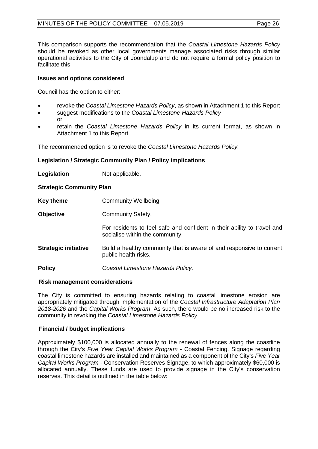This comparison supports the recommendation that the *Coastal Limestone Hazards Policy* should be revoked as other local governments manage associated risks through similar operational activities to the City of Joondalup and do not require a formal policy position to facilitate this.

## **Issues and options considered**

Council has the option to either:

- revoke the *Coastal Limestone Hazards Policy*, as shown in Attachment 1 to this Report
- suggest modifications to the *Coastal Limestone Hazards Policy* or
- retain the *Coastal Limestone Hazards Policy* in its current format, as shown in Attachment 1 to this Report.

The recommended option is to revoke the *Coastal Limestone Hazards Policy.*

## **Legislation / Strategic Community Plan / Policy implications**

**Legislation** Not applicable.

**Strategic Community Plan**

- **Key theme** Community Wellbeing
- **Objective** Community Safety.

For residents to feel safe and confident in their ability to travel and socialise within the community.

- **Strategic initiative** Build a healthy community that is aware of and responsive to current public health risks.
- **Policy** *Coastal Limestone Hazards Policy.*

## **Risk management considerations**

The City is committed to ensuring hazards relating to coastal limestone erosion are appropriately mitigated through implementation of the *Coastal Infrastructure Adaptation Plan 2018-2026* and the *Capital Works Program*. As such, there would be no increased risk to the community in revoking the *Coastal Limestone Hazards Policy*.

## **Financial / budget implications**

Approximately \$100,000 is allocated annually to the renewal of fences along the coastline through the City's *Five Year Capital Works Program* - Coastal Fencing. Signage regarding coastal limestone hazards are installed and maintained as a component of the City's *Five Year Capital Works Program* - Conservation Reserves Signage, to which approximately \$60,000 is allocated annually. These funds are used to provide signage in the City's conservation reserves. This detail is outlined in the table below: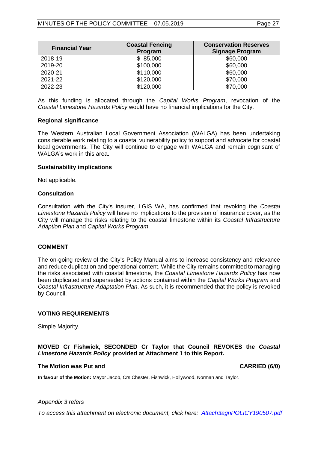| <b>Financial Year</b> | <b>Coastal Fencing</b><br>Program | <b>Conservation Reserves</b><br><b>Signage Program</b> |
|-----------------------|-----------------------------------|--------------------------------------------------------|
| 2018-19               | \$85,000                          | \$60,000                                               |
| 2019-20               | \$100,000                         | \$60,000                                               |
| 2020-21               | \$110,000                         | \$60,000                                               |
| 2021-22               | \$120,000                         | \$70,000                                               |
| 2022-23               | \$120,000                         | \$70,000                                               |

As this funding is allocated through the *Capital Works Program*, revocation of the *Coastal Limestone Hazards Policy* would have no financial implications for the City.

## **Regional significance**

The Western Australian Local Government Association (WALGA) has been undertaking considerable work relating to a coastal vulnerability policy to support and advocate for coastal local governments. The City will continue to engage with WALGA and remain cognisant of WALGA's work in this area.

## **Sustainability implications**

Not applicable.

## **Consultation**

Consultation with the City's insurer, LGIS WA, has confirmed that revoking the *Coastal Limestone Hazards Policy* will have no implications to the provision of insurance cover, as the City will manage the risks relating to the coastal limestone within its *Coastal Infrastructure Adaption Plan* and *Capital Works Program*.

#### **COMMENT**

The on-going review of the City's Policy Manual aims to increase consistency and relevance and reduce duplication and operational content. While the City remains committed to managing the risks associated with coastal limestone, the *Coastal Limestone Hazards Policy* has now been duplicated and superseded by actions contained within the *Capital Works Program* and *Coastal Infrastructure Adaptation Plan*. As such, it is recommended that the policy is revoked by Council.

#### **VOTING REQUIREMENTS**

Simple Majority.

## **MOVED Cr Fishwick, SECONDED Cr Taylor that Council REVOKES the** *Coastal Limestone Hazards Policy* **provided at Attachment 1 to this Report.**

#### **The Motion was Put and CARRIED (6/0)**

**In favour of the Motion:** Mayor Jacob, Crs Chester, Fishwick, Hollywood, Norman and Taylor.

#### *Appendix 3 refers*

*To access this attachment on electronic document, click here: [Attach3agnPOLICY190507.pdf](http://www.joondalup.wa.gov.au/files/committees/POLI/2019/Attach3agnPOLICY190507.pdf)*